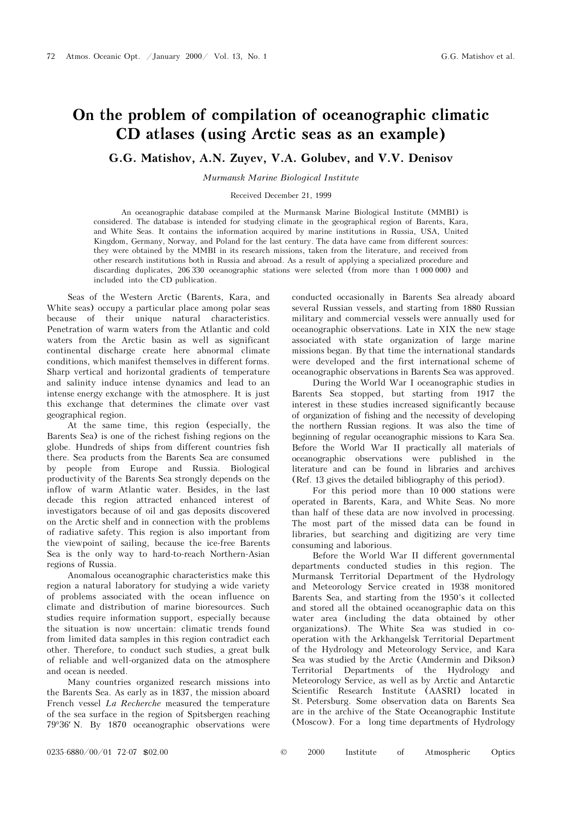## On the problem of compilation of oceanographic climatic<br>CD atlases (using Arctic seas as an example)

G.G. Matishov, A.N. Zuyev, V.A. Golubev, and V.V. Denisov

Murmansk Marine Biological Institute

Received December 21, 1999

An oceanographic database compiled at the Murmansk Marine Biological Institute (MMBI) is considered. The database is intended for studying climate in the geographical region of Barents, Kara, and White Seas. It contains the information acquired by marine institutions in Russia, USA, United Kingdom, Germany, Norway, and Poland for the last century. The data have came from different sources: they were obtained by the MMBI in its research missions, taken from the literature, and received from other research institutions both in Russia and abroad. As a result of applying a specialized procedure and discarding duplicates, 206 330 oceanographic stations were selected (from more than 1 000 000) and included into the CD publication.

Seas of the Western Arctic (Barents, Kara, and White seas) occupy a particular place among polar seas because of their unique natural characteristics. Penetration of warm waters from the Atlantic and cold waters from the Arctic basin as well as significant continental discharge create here abnormal climate conditions, which manifest themselves in different forms. Sharp vertical and horizontal gradients of temperature and salinity induce intense dynamics and lead to an intense energy exchange with the atmosphere. It is just this exchange that determines the climate over vast geographical region.

At the same time, this region (especially, the Barents Sea) is one of the richest fishing regions on the globe. Hundreds of ships from different countries fish there. Sea products from the Barents Sea are consumed by people from Europe and Russia. Biological productivity of the Barents Sea strongly depends on the inflow of warm Atlantic water. Besides, in the last decade this region attracted enhanced interest of investigators because of oil and gas deposits discovered on the Arctic shelf and in connection with the problems of radiative safety. This region is also important from the viewpoint of sailing, because the ice-free Barents Sea is the only way to hard-to-reach Northern-Asian regions of Russia.

Anomalous oceanographic characteristics make this region a natural laboratory for studying a wide variety of problems associated with the ocean influence on climate and distribution of marine bioresources. Such studies require information support, especially because the situation is now uncertain: climatic trends found from limited data samples in this region contradict each other. Therefore, to conduct such studies, a great bulk of reliable and well-organized data on the atmosphere and ocean is needed.

Many countries organized research missions into the Barents Sea. As early as in 1837, the mission aboard French vessel La Recherche measured the temperature of the sea surface in the region of Spitsbergen reaching 79°36′ N. By 1870 oceanographic observations were conducted occasionally in Barents Sea already aboard several Russian vessels, and starting from 1880 Russian military and commercial vessels were annually used for oceanographic observations. Late in XIX the new stage associated with state organization of large marine missions began. By that time the international standards were developed and the first international scheme of oceanographic observations in Barents Sea was approved.

During the World War I oceanographic studies in Barents Sea stopped, but starting from 1917 the interest in these studies increased significantly because of organization of fishing and the necessity of developing the northern Russian regions. It was also the time of beginning of regular oceanographic missions to Kara Sea. Before the World War II practically all materials of oceanographic observations were published in the literature and can be found in libraries and archives (Ref. 13 gives the detailed bibliography of this period).

For this period more than 10 000 stations were operated in Barents, Kara, and White Seas. No more than half of these data are now involved in processing. The most part of the missed data can be found in libraries, but searching and digitizing are very time consuming and laborious.

Before the World War II different governmental departments conducted studies in this region. The Murmansk Territorial Department of the Hydrology and Meteorology Service created in 1938 monitored Barents Sea, and starting from the 1950's it collected and stored all the obtained oceanographic data on this water area (including the data obtained by other organizations). The White Sea was studied in cooperation with the Arkhangelsk Territorial Department of the Hydrology and Meteorology Service, and Kara Sea was studied by the Arctic (Amdermin and Dikson) Territorial Departments of the Hydrology and Meteorology Service, as well as by Arctic and Antarctic Scientific Research Institute (AASRI) located in St. Petersburg. Some observation data on Barents Sea are in the archive of the State Oceanographic Institute (Moscow). For a long time departments of Hydrology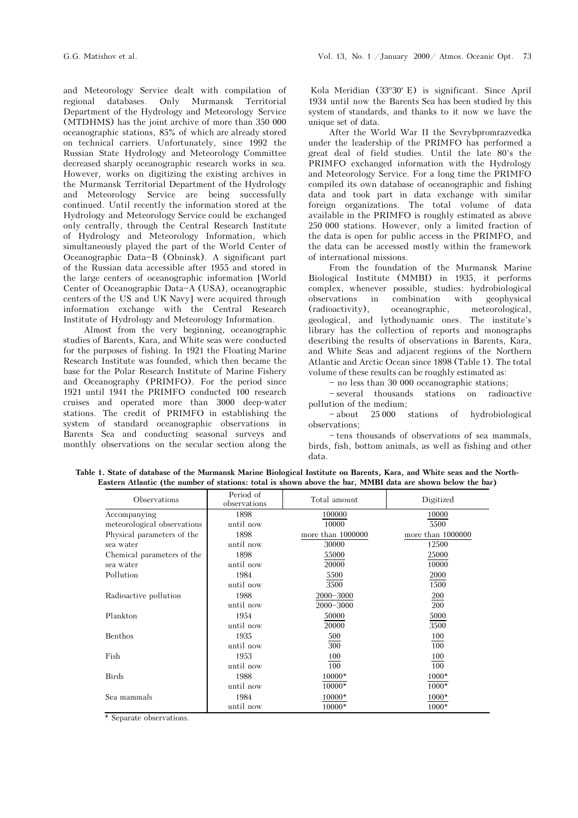and Meteorology Service dealt with compilation of regional databases. Only Murmansk Territorial Department of the Hydrology and Meteorology Service (MTDHMS) has the joint archive of more than 350 000 oceanographic stations, 85% of which are already stored on technical carriers. Unfortunately, since 1992 the Russian State Hydrology and Meteorology Committee decreased sharply oceanographic research works in sea. However, works on digitizing the existing archives in the Murmansk Territorial Department of the Hydrology and Meteorology Service are being successfully continued. Until recently the information stored at the Hydrology and Meteorology Service could be exchanged only centrally, through the Central Research Institute of Hydrology and Meteorology Information, which simultaneously played the part of the World Center of Oceanographic Data-B (Obninsk). A significant part of the Russian data accessible after 1955 and stored in the large centers of oceanographic information [World Center of Oceanographic Data-A (USA), oceanographic centers of the US and UK Navy] were acquired through information exchange with the Central Research Institute of Hydrology and Meteorology Information.

Almost from the very beginning, oceanographic studies of Barents, Kara, and White seas were conducted for the purposes of fishing. In 1921 the Floating Marine Research Institute was founded, which then became the base for the Polar Research Institute of Marine Fishery and Oceanography (PRIMFO). For the period since 1921 until 1941 the PRIMFO conducted 100 research cruises and operated more than 3000 deep-water stations. The credit of PRIMFO in establishing the system of standard oceanographic observations in Barents Sea and conducting seasonal surveys and monthly observations on the secular section along the

Kola Meridian (33°30′ E) is significant. Since April 1934 until now the Barents Sea has been studied by this system of standards, and thanks to it now we have the unique set of data.

After the World War II the Sevrybpromrazvedka under the leadership of the PRIMFO has performed a great deal of field studies. Until the late 80's the PRIMFO exchanged information with the Hydrology and Meteorology Service. For a long time the PRIMFO compiled its own database of oceanographic and fishing data and took part in data exchange with similar foreign organizations. The total volume of data available in the PRIMFO is roughly estimated as above 250 000 stations. However, only a limited fraction of the data is open for public access in the PRIMFO, and the data can be accessed mostly within the framework of international missions.

From the foundation of the Murmansk Marine Biological Institute (MMBI) in 1935, it performs complex, whenever possible, studies: hydrobiological observations in combination with geophysical (radioactivity), oceanographic, meteorological, geological, and lythodynamic ones. The institute's library has the collection of reports and monographs describing the results of observations in Barents, Kara, and White Seas and adjacent regions of the Northern Atlantic and Arctic Ocean since 1898 (Table 1). The total volume of these results can be roughly estimated as:

 $-$  no less than 30 000 oceanographic stations;

several thousands stations on radioactive pollution of the medium;

-about 25 000 stations of hydrobiological observations;

 $-$  tens thousands of observations of sea mammals, birds, fish, bottom animals, as well as fishing and other data.

Table 1. State of database of the Murmansk Marine Biological Institute on Barents, Kara, and White seas and the North-Eastern Atlantic (the number of stations: total is shown above the bar, MMBI data are shown below the bar)

| Observations                | Period of<br>observations | Total amount      | Digitized         |
|-----------------------------|---------------------------|-------------------|-------------------|
| Accompanying                | 1898                      | 100000            | 10000             |
| meteorological observations | until now                 | 10000             | 5500              |
| Physical parameters of the  | 1898                      | more than 1000000 | more than 1000000 |
| sea water                   | until now                 | 30000             | 12500             |
| Chemical parameters of the  | 1898                      | 55000             | 25000             |
| sea water                   | until now                 | 20000             | 10000             |
| Pollution                   | 1984                      | 5500              | 2000              |
|                             | until now                 | 3500              | 1500              |
| Radioactive pollution       | 1988                      | 2000-3000         | 200               |
|                             | until now                 | 2000-3000         | <b>200</b>        |
| Plankton                    | 1954                      | 50000             | 5000              |
|                             | until now                 | 20000             | 3500              |
| Benthos                     | 1935                      | 500               | 100               |
|                             | until now                 | 300               | 100               |
| Fish                        | 1953                      | 100               | 100               |
|                             | until now                 | 100               | 100               |
| <b>Birds</b>                | 1988                      | 10000*            | 1000*             |
|                             | until now                 | 10000*            | 1000*             |
| Sea mammals                 | 1984                      | 10000*            | 1000*             |
|                             | until now                 | 10000*            | 1000*             |

\* Separate observations.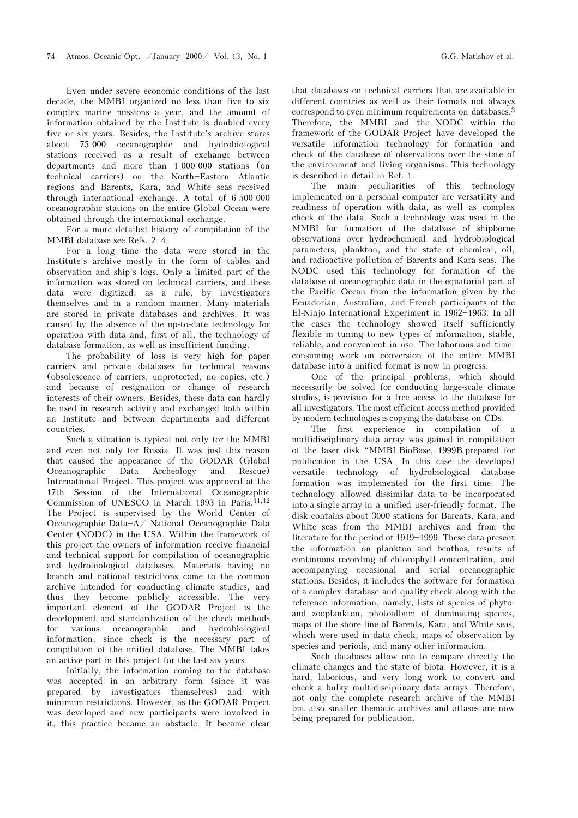Even under severe economic conditions of the last decade, the MMBI organized no less than five to six complex marine missions a year, and the amount of information obtained by the Institute is doubled every five or six years. Besides, the Institute's archive stores about 75 000 oceanographic and hydrobiological stations received as a result of exchange between departments and more than 1 000 000 stations (on technical carriers) on the North-Eastern Atlantic regions and Barents, Kara, and White seas received through international exchange. A total of 6 500 000 oceanographic stations on the entire Global Ocean were obtained through the international exchange.

For a more detailed history of compilation of the MMBI database see Refs. 2-4.

For a long time the data were stored in the Institute's archive mostly in the form of tables and observation and ship's logs. Only a limited part of the information was stored on technical carriers, and these data were digitized, as a rule, by investigators themselves and in a random manner. Many materials are stored in private databases and archives. It was caused by the absence of the up-to-date technology for operation with data and, first of all, the technology of database formation, as well as insufficient funding.

The probability of loss is very high for paper carriers and private databases for technical reasons (obsolescence of carriers, unprotected, no copies, etc.) and because of resignation or change of research interests of their owners. Besides, these data can hardly be used in research activity and exchanged both within an Institute and between departments and different countries.

Such a situation is typical not only for the MMBI and even not only for Russia. It was just this reason that caused the appearance of the GODAR (Global Oceanographic Data Archeology and Rescue) International Project. This project was approved at the 17th Session of the International Oceanographic Commission of UNESCO in March 1993 in Paris.<sup>11,12</sup> The Project is supervised by the World Center of Oceanographic Data-A/ National Oceanographic Data Center (NODC) in the USA. Within the framework of this project the owners of information receive financial and technical support for compilation of oceanographic and hydrobiological databases. Materials having no branch and national restrictions come to the common archive intended for conducting climate studies, and thus they become publicly accessible. The very important element of the GODAR Project is the development and standardization of the check methods for various oceanographic and hydrobiological information, since check is the necessary part of compilation of the unified database. The MMBI takes an active part in this project for the last six years.

Initially, the information coming to the database was accepted in an arbitrary form (since it was prepared by investigators themselves) and with minimum restrictions. However, as the GODAR Project was developed and new participants were involved in it, this practice became an obstacle. It became clear

that databases on technical carriers that are available in different countries as well as their formats not always correspond to even minimum requirements on databases.<sup>3</sup> Therefore, the MMBI and the NODC within the framework of the GODAR Project have developed the versatile information technology for formation and check of the database of observations over the state of the environment and living organisms. This technology is described in detail in Ref. 1.

The main peculiarities of this technology implemented on a personal computer are versatility and readiness of operation with data, as well as complex check of the data. Such a technology was used in the MMBI for formation of the database of shipborne observations over hydrochemical and hydrobiological parameters, plankton, and the state of chemical, oil, and radioactive pollution of Barents and Kara seas. The NODC used this technology for formation of the database of oceanographic data in the equatorial part of the Pacific Ocean from the information given by the Ecuadorian, Australian, and French participants of the El-Ninjo International Experiment in 1962-1963. In all the cases the technology showed itself sufficiently flexible in tuning to new types of information, stable, reliable, and convenient in use. The laborious and timeconsuming work on conversion of the entire MMBI database into a unified format is now in progress.

One of the principal problems, which should necessarily be solved for conducting large-scale climate studies, is provision for a free access to the database for all investigators. The most efficient access method provided by modern technologies is copying the database on CDs.

The first experience in compilation of a multidisciplinary data array was gained in compilation of the laser disk "MMBI BioBase, 1999B prepared for publication in the USA. In this case the developed versatile technology of hydrobiological database formation was implemented for the first time. The technology allowed dissimilar data to be incorporated into a single array in a unified user-friendly format. The disk contains about 3000 stations for Barents, Kara, and White seas from the MMBI archives and from the literature for the period of 1919–1999. These data present the information on plankton and benthos, results of continuous recording of chlorophyll concentration, and accompanying occasional and serial oceanographic stations. Besides, it includes the software for formation of a complex database and quality check along with the reference information, namely, lists of species of phytoand zooplankton, photoalbum of dominating species, maps of the shore line of Barents, Kara, and White seas, which were used in data check, maps of observation by species and periods, and many other information.

Such databases allow one to compare directly the climate changes and the state of biota. However, it is a hard, laborious, and very long work to convert and check a bulky multidisciplinary data arrays. Therefore, not only the complete research archive of the MMBI but also smaller thematic archives and atlases are now being prepared for publication.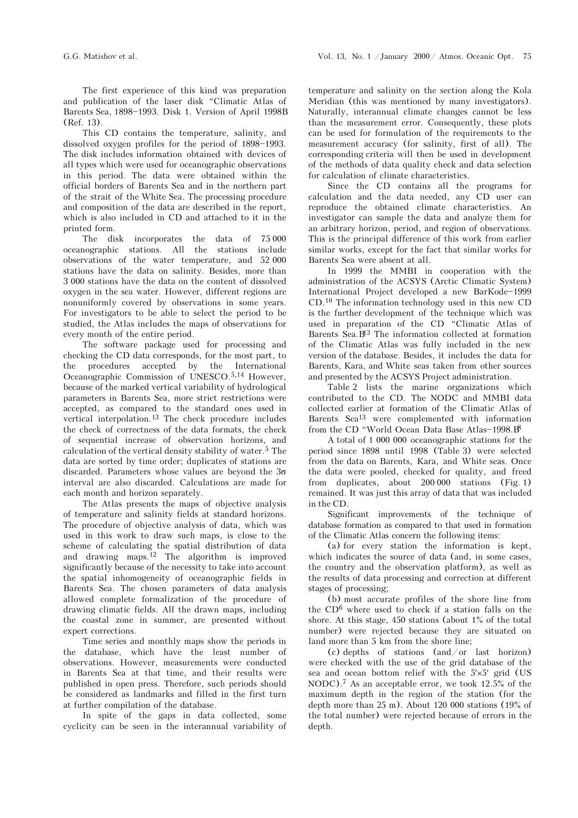The first experience of this kind was preparation and publication of the laser disk "Climatic Atlas of Barents Sea, 1898-1993. Disk 1. Version of April 1998B (Ref. 13).

This CD contains the temperature, salinity, and dissolved oxygen profiles for the period of 1898-1993. The disk includes information obtained with devices of all types which were used for oceanographic observations in this period. The data were obtained within the official borders of Barents Sea and in the northern part of the strait of the White Sea. The processing procedure and composition of the data are described in the report, which is also included in CD and attached to it in the printed form.

The disk incorporates the data of 75 000 oceanographic stations. All the stations include observations of the water temperature, and 52 000 stations have the data on salinity. Besides, more than 3 000 stations have the data on the content of dissolved oxygen in the sea water. However, different regions are nonuniformly covered by observations in some years. For investigators to be able to select the period to be studied, the Atlas includes the maps of observations for every month of the entire period.

The software package used for processing and checking the CD data corresponds, for the most part, to the procedures accepted by the International Oceanographic Commission of UNESCO.5,14 However, because of the marked vertical variability of hydrological parameters in Barents Sea, more strict restrictions were accepted, as compared to the standard ones used in vertical interpolation.<sup>13</sup> The check procedure includes the check of correctness of the data formats, the check of sequential increase of observation horizons, and calculation of the vertical density stability of water.<sup>5</sup> The  $\,$ data are sorted by time order; duplicates of stations are discarded. Parameters whose values are beyond the  $3\sigma$ interval are also discarded. Calculations are made for each month and horizon separately.

The Atlas presents the maps of objective analysis of temperature and salinity fields at standard horizons. The procedure of objective analysis of data, which was used in this work to draw such maps, is close to the scheme of calculating the spatial distribution of data and drawing maps.12 The algorithm is improved significantly because of the necessity to take into account the spatial inhomogeneity of oceanographic fields in Barents Sea. The chosen parameters of data analysis allowed complete formalization of the procedure of drawing climatic fields. All the drawn maps, including the coastal zone in summer, are presented without expert corrections.

Time series and monthly maps show the periods in the database, which have the least number of observations. However, measurements were conducted in Barents Sea at that time, and their results were published in open press. Therefore, such periods should be considered as landmarks and filled in the first turn at further compilation of the database.

In spite of the gaps in data collected, some cyclicity can be seen in the interannual variability of temperature and salinity on the section along the Kola Meridian (this was mentioned by many investigators). Naturally, interannual climate changes cannot be less than the measurement error. Consequently, these plots can be used for formulation of the requirements to the measurement accuracy (for salinity, first of all). The corresponding criteria will then be used in development of the methods of data quality check and data selection for calculation of climate characteristics.

Since the CD contains all the programs for calculation and the data needed, any CD user can reproduce the obtained climate characteristics. An investigator can sample the data and analyze them for an arbitrary horizon, period, and region of observations. This is the principal difference of this work from earlier similar works, except for the fact that similar works for Barents Sea were absent at all.

In 1999 the MMBI in cooperation with the administration of the ACSYS (Arctic Climatic System) International Project developed a new BarKode-1999 CD.10 The information technology used in this new CD is the further development of the technique which was used in preparation of the CD "Climatic Atlas of Barents Sea.B13 The information collected at formation of the Climatic Atlas was fully included in the new version of the database. Besides, it includes the data for Barents, Kara, and White seas taken from other sources and presented by the ACSYS Project administration.

Table 2 lists the marine organizations which contributed to the CD. The NODC and MMBI data collected earlier at formation of the Climatic Atlas of Barents Sea13 were complemented with information from the CD "World Ocean Data Base Atlas-1998. $B^{\beta}$ 

A total of 1 000 000 oceanographic stations for the period since 1898 until 1998 (Table 3) were selected from the data on Barents, Kara, and White seas. Once the data were pooled, checked for quality, and freed from duplicates, about 200 000 stations (Fig. 1) remained. It was just this array of data that was included in the CD.

Significant improvements of the technique of database formation as compared to that used in formation of the Climatic Atlas concern the following items:

(a) for every station the information is kept, which indicates the source of data (and, in some cases, the country and the observation platform), as well as the results of data processing and correction at different stages of processing;

(b) most accurate profiles of the shore line from the CD6 where used to check if a station falls on the shore. At this stage, 450 stations (about 1% of the total number) were rejected because they are situated on land more than 5 km from the shore line;

(c) depths of stations (and/or last horizon) were checked with the use of the grid database of the sea and ocean bottom relief with the 5′×5′ grid (US NODC).7 As an acceptable error, we took 12.5% of the maximum depth in the region of the station (for the depth more than 25 m). About 120 000 stations (19% of the total number) were rejected because of errors in the depth.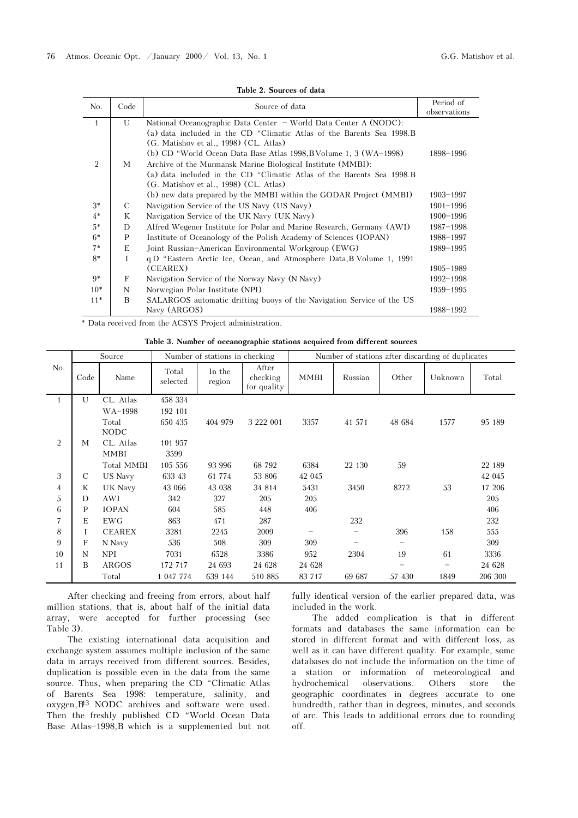| No.          | Code | Source of data                                                         | Period of     |
|--------------|------|------------------------------------------------------------------------|---------------|
|              |      |                                                                        | observations  |
| $\mathbf{1}$ | U    | National Oceanographic Data Center - World Data Center A (NODC):       |               |
|              |      | (a) data included in the CD "Climatic Atlas of the Barents Sea 1998. B |               |
|              |      | (G. Matishov et al., 1998) (CL. Atlas)                                 |               |
| 2            | М    | (b) CD "World Ocean Data Base Atlas 1998, B Volume 1, 3 (WA-1998)      | 1898-1996     |
|              |      | Archive of the Murmansk Marine Biological Institute (MMBI):            |               |
|              |      | (a) data included in the CD "Climatic Atlas of the Barents Sea 1998.B  |               |
|              |      | (G. Matishov et al., 1998) (CL. Atlas)                                 |               |
|              |      | (b) new data prepared by the MMBI within the GODAR Project (MMBI)      | $1903 - 1997$ |
| $3*$         | C    | Navigation Service of the US Navy (US Navy)                            | $1901 - 1996$ |
| $4*$         | K    | Navigation Service of the UK Navy (UK Navy)                            | $1900 - 1996$ |
| $5*$         | D    | Alfred Wegener Institute for Polar and Marine Research, Germany (AWI)  | 1987-1998     |
| $6*$         | P    | Institute of Oceanology of the Polish Academy of Sciences (IOPAN)      | 1988-1997     |
| $7*$         | E    | Joint Russian-American Environmental Workgroup (EWG)                   | 1989-1995     |
| $8*$         | T    | q D "Eastern Arctic Ice, Ocean, and Atmosphere Data, B Volume 1, 1991  |               |
|              |      | (CEAREX)                                                               | $1905 - 1989$ |
| $9*$         | F    | Navigation Service of the Norway Navy (N Navy)                         | $1992 - 1998$ |
| $10*$        | N    | Norwegian Polar Institute (NPI)                                        | 1959-1995     |
| $11*$        | B    | SALARGOS automatic drifting buoys of the Navigation Service of the US  |               |
|              |      | Navy (ARGOS)                                                           | 1988-1992     |

Table 2. Sources of data

\* Data received from the ACSYS Project administration.

Table 3. Number of oceanographic stations acquired from different sources

|                | Source        |                | Number of stations in checking |                  | Number of stations after discarding of duplicates |             |                                |        |                                |         |
|----------------|---------------|----------------|--------------------------------|------------------|---------------------------------------------------|-------------|--------------------------------|--------|--------------------------------|---------|
| No.            | Code          | Name           | Total<br>selected              | In the<br>region | After<br>checking<br>for quality                  | <b>MMBI</b> | Russian                        | Other  | Unknown                        | Total   |
| $\mathbf{1}$   | U             | CL. Atlas      | 458 334                        |                  |                                                   |             |                                |        |                                |         |
|                |               | WA-1998        | 192 101                        |                  |                                                   |             |                                |        |                                |         |
|                |               | Total          | 650 435                        | 404 979          | 3 222 001                                         | 3357        | 41 571                         | 48 684 | 1577                           | 95 189  |
|                |               | <b>NODC</b>    |                                |                  |                                                   |             |                                |        |                                |         |
| $\overline{2}$ | М             | CL. Atlas      | 101 957                        |                  |                                                   |             |                                |        |                                |         |
|                |               | MMBI           | 3599                           |                  |                                                   |             |                                |        |                                |         |
|                |               | Total MMBI     | 105 556                        | 93 996           | 68 792                                            | 6384        | 22 130                         | 59     |                                | 22 189  |
| 3              | $\mathcal{C}$ | <b>US Navy</b> | 633 43                         | 61 774           | 53 806                                            | 42 045      |                                |        |                                | 42 045  |
| 4              | K             | UK Navy        | 43 066                         | 43 038           | 34 814                                            | 5431        | 3450                           | 8272   | 53                             | 17 206  |
| 5              | D             | AWI            | 342                            | 327              | 205                                               | 205         |                                |        |                                | 205     |
| 6              | P             | <b>IOPAN</b>   | 604                            | 585              | 448                                               | 406         |                                |        |                                | 406     |
| 7              | E             | <b>EWG</b>     | 863                            | 471              | 287                                               |             | 232                            |        |                                | 232     |
| 8              | Ι             | <b>CEAREX</b>  | 3281                           | 2245             | 2009                                              |             |                                | 396    | 158                            | 555     |
| 9              | F             | N Navy         | 536                            | 508              | 309                                               | 309         | $\qquad \qquad \longleftarrow$ | -      |                                | 309     |
| 10             | N             | NPI            | 7031                           | 6528             | 3386                                              | 952         | 2304                           | 19     | 61                             | 3336    |
| 11             | В             | ARGOS          | 172 717                        | 24 693           | 24 628                                            | 24 628      |                                | -      | $\qquad \qquad \longleftarrow$ | 24 628  |
|                |               | Total          | 1 047 774                      | 639 144          | 510 885                                           | 83 7 17     | 69 687                         | 57 430 | 1849                           | 206 300 |

After checking and freeing from errors, about half million stations, that is, about half of the initial data array, were accepted for further processing (see Table 3).

The existing international data acquisition and exchange system assumes multiple inclusion of the same data in arrays received from different sources. Besides, duplication is possible even in the data from the same source. Thus, when preparing the CD "Climatic Atlas of Barents Sea 1998: temperature, salinity, and oxygen,B13 NODC archives and software were used. Then the freshly published CD "World Ocean Data Base Atlas-1998,B which is a supplemented but not fully identical version of the earlier prepared data, was included in the work.

The added complication is that in different formats and databases the same information can be stored in different format and with different loss, as well as it can have different quality. For example, some databases do not include the information on the time of a station or information of meteorological and hydrochemical observations. Others store the geographic coordinates in degrees accurate to one hundredth, rather than in degrees, minutes, and seconds of arc. This leads to additional errors due to rounding off.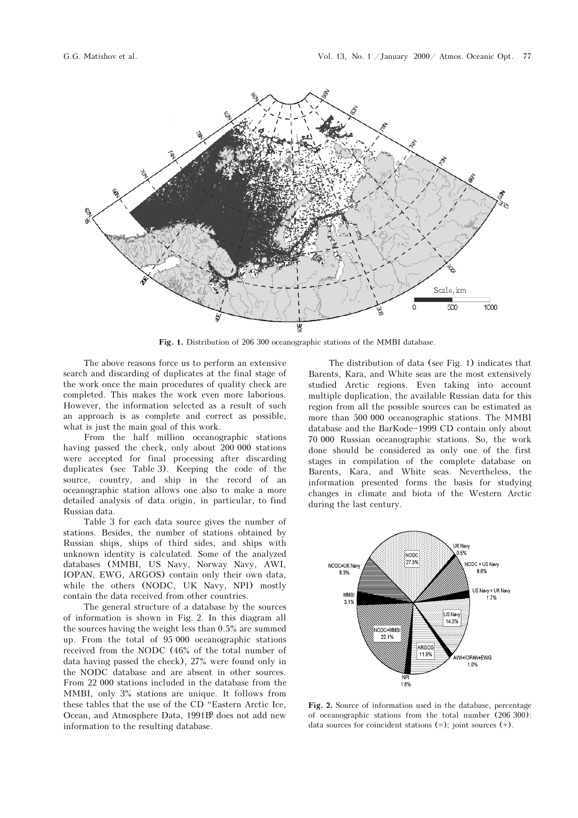

Fig. 1. Distribution of 206 300 oceanographic stations of the MMBI database.

The above reasons force us to perform an extensive search and discarding of duplicates at the final stage of the work once the main procedures of quality check are completed. This makes the work even more laborious. However, the information selected as a result of such an approach is as complete and correct as possible, what is just the main goal of this work.

From the half million oceanographic stations having passed the check, only about 200 000 stations were accepted for final processing after discarding duplicates (see Table 3). Keeping the code of the source, country, and ship in the record of an oceanographic station allows one also to make a more detailed analysis of data origin, in particular, to find Russian data.

Table 3 for each data source gives the number of stations. Besides, the number of stations obtained by Russian ships, ships of third sides, and ships with unknown identity is calculated. Some of the analyzed databases (MMBI, US Navy, Norway Navy, AWI, IOPAN, EWG, ARGOS) contain only their own data, while the others (NODC, UK Navy, NPI) mostly contain the data received from other countries.

The general structure of a database by the sources of information is shown in Fig. 2. In this diagram all the sources having the weight less than 0.5% are summed up. From the total of 95 000 oceanographic stations received from the NODC (46% of the total number of data having passed the check), 27% were found only in the NODC database and are absent in other sources. From 22 000 stations included in the database from the MMBI, only 3% stations are unique. It follows from these tables that the use of the CD "Eastern Arctic Ice, Ocean, and Atmosphere Data, 1991B<sup>9</sup> does not add new information to the resulting database.

The distribution of data (see Fig. 1) indicates that Barents, Kara, and White seas are the most extensively studied Arctic regions. Even taking into account multiple duplication, the available Russian data for this region from all the possible sources can be estimated as more than 500 000 oceanographic stations. The MMBI database and the BarKode-1999 CD contain only about 70 000 Russian oceanographic stations. So, the work done should be considered as only one of the first stages in compilation of the complete database on Barents, Kara, and White seas. Nevertheless, the information presented forms the basis for studying changes in climate and biota of the Western Arctic during the last century.



Fig. 2. Source of information used in the database, percentage of oceanographic stations from the total number (206 300): data sources for coincident stations (=); joint sources (+).